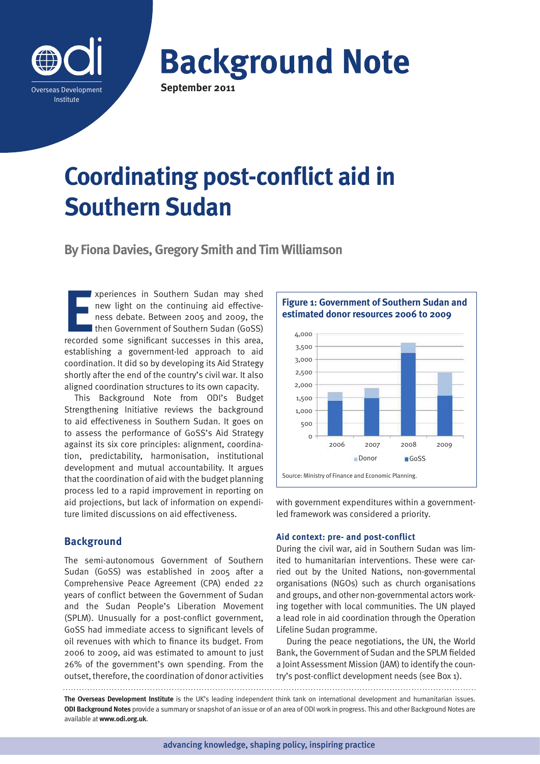

**Background Note September 2011**

# **Coordinating post-conflict aid in Southern Sudan**

**By Fiona Davies, Gregory Smith and Tim Williamson**

**EXECUTE SOLUTE SOLUTE SOLUTE SOLUTION**<br>
rev light on the continuing aid effective-<br>
ness debate. Between 2005 and 2009, the<br>
then Government of Southern Sudan (GoSS)<br>
recorded some significant successes in this area, xperiences in Southern Sudan may shed new light on the continuing aid effectiveness debate. Between 2005 and 2009, the I then Government of Southern Sudan (GoSS) establishing a government-led approach to aid coordination. It did so by developing its Aid Strategy shortly after the end of the country's civil war. It also aligned coordination structures to its own capacity.

This Background Note from ODI's Budget Strengthening Initiative reviews the background to aid effectiveness in Southern Sudan. It goes on to assess the performance of GoSS's Aid Strategy against its six core principles: alignment, coordination, predictability, harmonisation, institutional development and mutual accountability. It argues that the coordination of aid with the budget planning process led to a rapid improvement in reporting on aid projections, but lack of information on expenditure limited discussions on aid effectiveness.

# **Background**

The semi-autonomous Government of Southern Sudan (GoSS) was established in 2005 after a Comprehensive Peace Agreement (CPA) ended 22 years of conflict between the Government of Sudan and the Sudan People's Liberation Movement (SPLM). Unusually for a post-conflict government, GoSS had immediate access to significant levels of oil revenues with which to finance its budget. From 2006 to 2009, aid was estimated to amount to just 26% of the government's own spending. From the outset, therefore, the coordination of donor activities

**Figure 1: Government of Southern Sudan and estimated donor resources 2006 to 2009**



with government expenditures within a governmentled framework was considered a priority.

## **Aid context: pre- and post-conflict**

During the civil war, aid in Southern Sudan was limited to humanitarian interventions. These were carried out by the United Nations, non-governmental organisations (NGOs) such as church organisations and groups, and other non-governmental actors working together with local communities. The UN played a lead role in aid coordination through the Operation Lifeline Sudan programme.

During the peace negotiations, the UN, the World Bank, the Government of Sudan and the SPLM fielded a Joint Assessment Mission (JAM) to identify the country's post-conflict development needs (see Box 1).

**The Overseas Development Institute** is the UK's leading independent think tank on international development and humanitarian issues. **ODI Background Notes** provide a summary or snapshot of an issue or of an area of ODI work in progress. This and other Background Notes are available at **www.odi.org.uk**.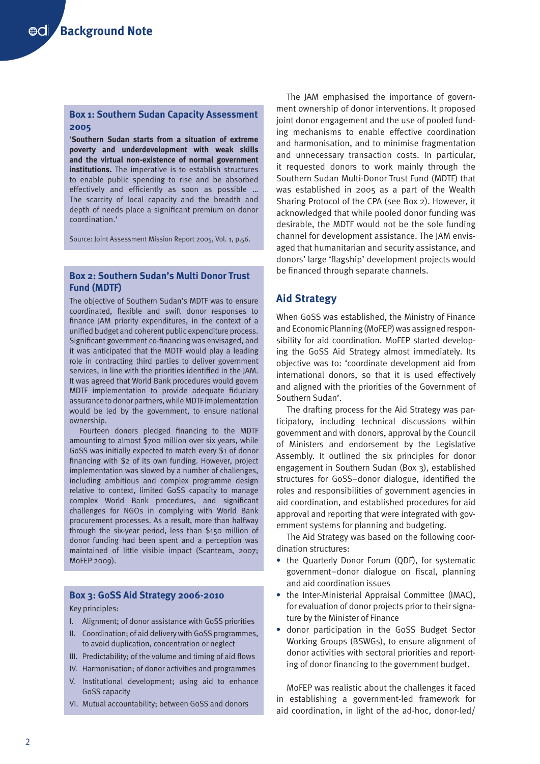# **Box 1: Southern Sudan Capacity Assessment 2005**

'**Southern Sudan starts from a situation of extreme poverty and underdevelopment with weak skills and the virtual non-existence of normal government institutions.** The imperative is to establish structures to enable public spending to rise and be absorbed effectively and efficiently as soon as possible … The scarcity of local capacity and the breadth and depth of needs place a significant premium on donor coordination.'

Source: Joint Assessment Mission Report 2005, Vol. 1, p.56.

# **Box 2: Southern Sudan's Multi Donor Trust Fund (MDTF)**

The objective of Southern Sudan's MDTF was to ensure coordinated, flexible and swift donor responses to finance JAM priority expenditures, in the context of a unified budget and coherent public expenditure process. Significant government co-financing was envisaged, and it was anticipated that the MDTF would play a leading role in contracting third parties to deliver government services, in line with the priorities identified in the JAM. It was agreed that World Bank procedures would govern MDTF implementation to provide adequate fiduciary assurance to donor partners, while MDTF implementation would be led by the government, to ensure national ownership.

Fourteen donors pledged financing to the MDTF amounting to almost \$700 million over six years, while GoSS was initially expected to match every \$1 of donor financing with \$2 of its own funding. However, project implementation was slowed by a number of challenges, including ambitious and complex programme design relative to context, limited GoSS capacity to manage complex World Bank procedures, and significant challenges for NGOs in complying with World Bank procurement processes. As a result, more than halfway through the six-year period, less than \$150 million of donor funding had been spent and a perception was maintained of little visible impact (Scanteam, 2007; MoFEP 2009).

## **Box 3: GoSS Aid Strategy 2006-2010**

Key principles:

- I. Alignment; of donor assistance with GoSS priorities
- II. Coordination; of aid delivery with GoSS programmes, to avoid duplication, concentration or neglect
- III. Predictability; of the volume and timing of aid flows
- IV. Harmonisation; of donor activities and programmes
- V. Institutional development; using aid to enhance GoSS capacity
- VI. Mutual accountability; between GoSS and donors

The JAM emphasised the importance of government ownership of donor interventions. It proposed joint donor engagement and the use of pooled funding mechanisms to enable effective coordination and harmonisation, and to minimise fragmentation and unnecessary transaction costs. In particular, it requested donors to work mainly through the Southern Sudan Multi-Donor Trust Fund (MDTF) that was established in 2005 as a part of the Wealth Sharing Protocol of the CPA (see Box 2). However, it acknowledged that while pooled donor funding was desirable, the MDTF would not be the sole funding channel for development assistance. The JAM envisaged that humanitarian and security assistance, and donors' large 'flagship' development projects would be financed through separate channels.

# **Aid Strategy**

When GoSS was established, the Ministry of Finance and Economic Planning (MoFEP) was assigned responsibility for aid coordination. MoFEP started developing the GoSS Aid Strategy almost immediately. Its objective was to: 'coordinate development aid from international donors, so that it is used effectively and aligned with the priorities of the Government of Southern Sudan'.

The drafting process for the Aid Strategy was participatory, including technical discussions within government and with donors, approval by the Council of Ministers and endorsement by the Legislative Assembly. It outlined the six principles for donor engagement in Southern Sudan (Box 3), established structures for GoSS–donor dialogue, identified the roles and responsibilities of government agencies in aid coordination, and established procedures for aid approval and reporting that were integrated with government systems for planning and budgeting.

The Aid Strategy was based on the following coordination structures:

- **•** the Quarterly Donor Forum (QDF), for systematic government–donor dialogue on fiscal, planning and aid coordination issues
- **•** the Inter-Ministerial Appraisal Committee (IMAC), for evaluation of donor projects prior to their signature by the Minister of Finance
- **•** donor participation in the GoSS Budget Sector Working Groups (BSWGs), to ensure alignment of donor activities with sectoral priorities and reporting of donor financing to the government budget.

MoFEP was realistic about the challenges it faced in establishing a government-led framework for aid coordination, in light of the ad-hoc, donor-led/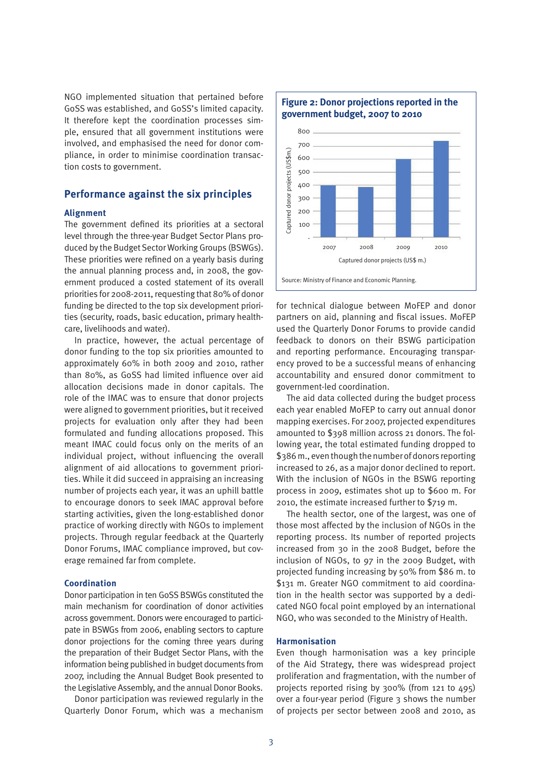NGO implemented situation that pertained before GoSS was established, and GoSS's limited capacity. It therefore kept the coordination processes simple, ensured that all government institutions were involved, and emphasised the need for donor compliance, in order to minimise coordination transaction costs to government.

# **Performance against the six principles**

# **Alignment**

The government defined its priorities at a sectoral level through the three-year Budget Sector Plans produced by the Budget Sector Working Groups (BSWGs). These priorities were refined on a yearly basis during the annual planning process and, in 2008, the government produced a costed statement of its overall priorities for 2008-2011, requesting that 80% of donor funding be directed to the top six development priorities (security, roads, basic education, primary healthcare, livelihoods and water).

In practice, however, the actual percentage of donor funding to the top six priorities amounted to approximately 60% in both 2009 and 2010, rather than 80%, as GoSS had limited influence over aid allocation decisions made in donor capitals. The role of the IMAC was to ensure that donor projects were aligned to government priorities, but it received projects for evaluation only after they had been formulated and funding allocations proposed. This meant IMAC could focus only on the merits of an individual project, without influencing the overall alignment of aid allocations to government priorities. While it did succeed in appraising an increasing number of projects each year, it was an uphill battle to encourage donors to seek IMAC approval before starting activities, given the long-established donor practice of working directly with NGOs to implement projects. Through regular feedback at the Quarterly Donor Forums, IMAC compliance improved, but coverage remained far from complete.

#### **Coordination**

Donor participation in ten GoSS BSWGs constituted the main mechanism for coordination of donor activities across government. Donors were encouraged to participate in BSWGs from 2006, enabling sectors to capture donor projections for the coming three years during the preparation of their Budget Sector Plans, with the information being published in budget documents from 2007, including the Annual Budget Book presented to the Legislative Assembly, and the annual Donor Books.

Donor participation was reviewed regularly in the Quarterly Donor Forum, which was a mechanism



for technical dialogue between MoFEP and donor partners on aid, planning and fiscal issues. MoFEP used the Quarterly Donor Forums to provide candid feedback to donors on their BSWG participation and reporting performance. Encouraging transparency proved to be a successful means of enhancing accountability and ensured donor commitment to government-led coordination.

The aid data collected during the budget process each year enabled MoFEP to carry out annual donor mapping exercises. For 2007, projected expenditures amounted to \$398 million across 21 donors. The following year, the total estimated funding dropped to \$386 m., even though the number of donors reporting increased to 26, as a major donor declined to report. With the inclusion of NGOs in the BSWG reporting process in 2009, estimates shot up to \$600 m. For 2010, the estimate increased further to \$719 m.

The health sector, one of the largest, was one of those most affected by the inclusion of NGOs in the reporting process. Its number of reported projects increased from 30 in the 2008 Budget, before the inclusion of NGOs, to 97 in the 2009 Budget, with projected funding increasing by 50% from \$86 m. to \$131 m. Greater NGO commitment to aid coordination in the health sector was supported by a dedicated NGO focal point employed by an international NGO, who was seconded to the Ministry of Health.

#### **Harmonisation**

Even though harmonisation was a key principle of the Aid Strategy, there was widespread project proliferation and fragmentation, with the number of projects reported rising by 300% (from 121 to 495) over a four-year period (Figure 3 shows the number of projects per sector between 2008 and 2010, as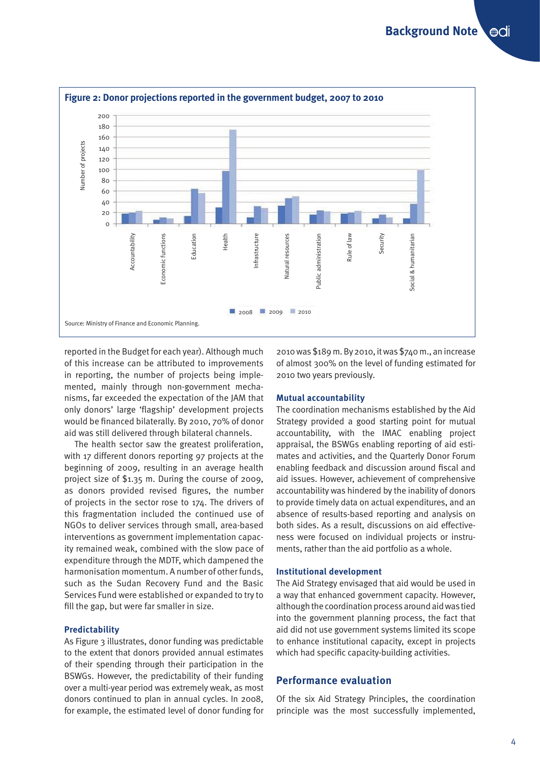

reported in the Budget for each year). Although much of this increase can be attributed to improvements in reporting, the number of projects being implemented, mainly through non-government mechanisms, far exceeded the expectation of the JAM that only donors' large 'flagship' development projects would be financed bilaterally. By 2010, 70% of donor aid was still delivered through bilateral channels.

The health sector saw the greatest proliferation, with 17 different donors reporting 97 projects at the beginning of 2009, resulting in an average health project size of \$1.35 m. During the course of 2009, as donors provided revised figures, the number of projects in the sector rose to 174. The drivers of this fragmentation included the continued use of NGOs to deliver services through small, area-based interventions as government implementation capacity remained weak, combined with the slow pace of expenditure through the MDTF, which dampened the harmonisation momentum. A number of other funds, such as the Sudan Recovery Fund and the Basic Services Fund were established or expanded to try to fill the gap, but were far smaller in size.

## **Predictability**

As Figure 3 illustrates, donor funding was predictable to the extent that donors provided annual estimates of their spending through their participation in the BSWGs. However, the predictability of their funding over a multi-year period was extremely weak, as most donors continued to plan in annual cycles. In 2008, for example, the estimated level of donor funding for 2010 was \$189 m. By 2010, it was \$740 m., an increase of almost 300% on the level of funding estimated for 2010 two years previously.

#### **Mutual accountability**

The coordination mechanisms established by the Aid Strategy provided a good starting point for mutual accountability, with the IMAC enabling project appraisal, the BSWGs enabling reporting of aid estimates and activities, and the Quarterly Donor Forum enabling feedback and discussion around fiscal and aid issues. However, achievement of comprehensive accountability was hindered by the inability of donors to provide timely data on actual expenditures, and an absence of results-based reporting and analysis on both sides. As a result, discussions on aid effectiveness were focused on individual projects or instruments, rather than the aid portfolio as a whole.

#### **Institutional development**

The Aid Strategy envisaged that aid would be used in a way that enhanced government capacity. However, although the coordination process around aid was tied into the government planning process, the fact that aid did not use government systems limited its scope to enhance institutional capacity, except in projects which had specific capacity-building activities.

# **Performance evaluation**

Of the six Aid Strategy Principles, the coordination principle was the most successfully implemented,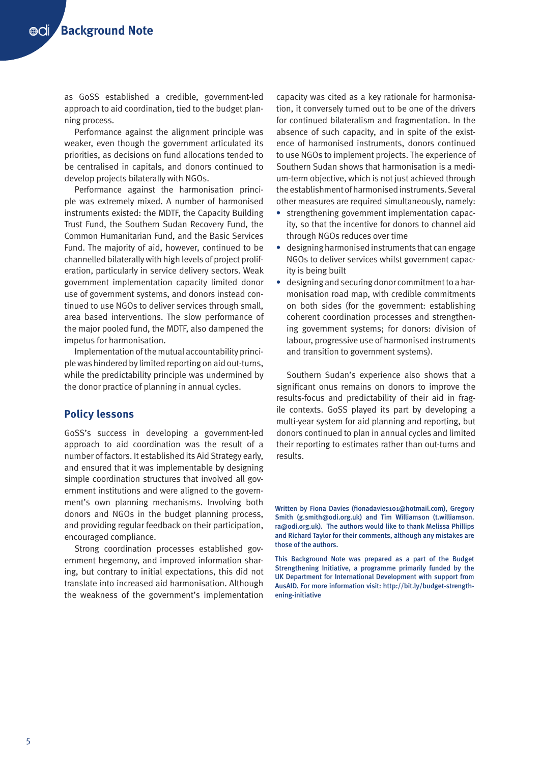as GoSS established a credible, government-led approach to aid coordination, tied to the budget planning process.

Performance against the alignment principle was weaker, even though the government articulated its priorities, as decisions on fund allocations tended to be centralised in capitals, and donors continued to develop projects bilaterally with NGOs.

Performance against the harmonisation principle was extremely mixed. A number of harmonised instruments existed: the MDTF, the Capacity Building Trust Fund, the Southern Sudan Recovery Fund, the Common Humanitarian Fund, and the Basic Services Fund. The majority of aid, however, continued to be channelled bilaterally with high levels of project proliferation, particularly in service delivery sectors. Weak government implementation capacity limited donor use of government systems, and donors instead continued to use NGOs to deliver services through small, area based interventions. The slow performance of the major pooled fund, the MDTF, also dampened the impetus for harmonisation.

Implementation of the mutual accountability principle was hindered by limited reporting on aid out-turns, while the predictability principle was undermined by the donor practice of planning in annual cycles.

# **Policy lessons**

GoSS's success in developing a government-led approach to aid coordination was the result of a number of factors. It established its Aid Strategy early, and ensured that it was implementable by designing simple coordination structures that involved all government institutions and were aligned to the government's own planning mechanisms. Involving both donors and NGOs in the budget planning process, and providing regular feedback on their participation, encouraged compliance.

Strong coordination processes established government hegemony, and improved information sharing, but contrary to initial expectations, this did not translate into increased aid harmonisation. Although the weakness of the government's implementation

capacity was cited as a key rationale for harmonisation, it conversely turned out to be one of the drivers for continued bilateralism and fragmentation. In the absence of such capacity, and in spite of the existence of harmonised instruments, donors continued to use NGOs to implement projects. The experience of Southern Sudan shows that harmonisation is a medium-term objective, which is not just achieved through the establishment of harmonised instruments. Several other measures are required simultaneously, namely:

- **•** strengthening government implementation capacity, so that the incentive for donors to channel aid through NGOs reduces over time
- **•** designing harmonised instruments that can engage NGOs to deliver services whilst government capacity is being built
- **•** designing and securing donor commitment to a harmonisation road map, with credible commitments on both sides (for the government: establishing coherent coordination processes and strengthening government systems; for donors: division of labour, progressive use of harmonised instruments and transition to government systems).

Southern Sudan's experience also shows that a significant onus remains on donors to improve the results-focus and predictability of their aid in fragile contexts. GoSS played its part by developing a multi-year system for aid planning and reporting, but donors continued to plan in annual cycles and limited their reporting to estimates rather than out-turns and results.

Written by Fiona Davies (fionadavies101@hotmail.com), Gregory Smith (g.smith@odi.org.uk) and Tim Williamson (t.williamson. ra@odi.org.uk). The authors would like to thank Melissa Phillips and Richard Taylor for their comments, although any mistakes are those of the authors.

This Background Note was prepared as a part of the Budget Strengthening Initiative, a programme primarily funded by the UK Department for International Development with support from AusAID. For more information visit: http://bit.ly/budget-strengthening-initiative